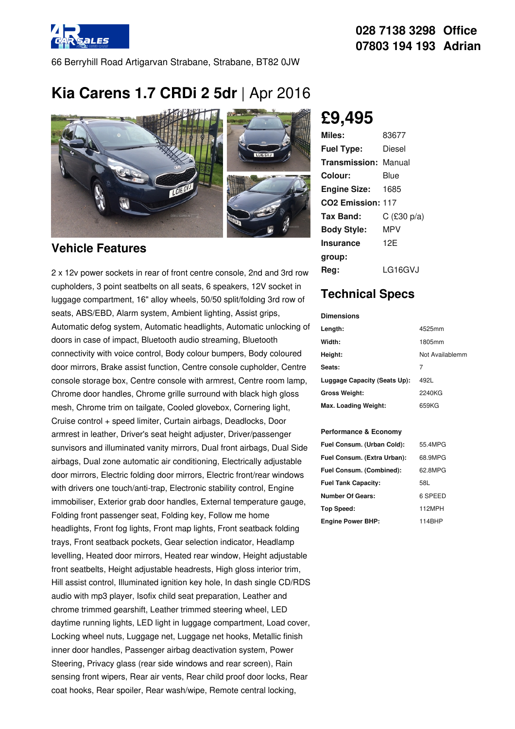

66 Berryhill Road Artigarvan Strabane, Strabane, BT82 0JW

# **Kia Carens 1.7 CRDi 2 5dr** |Apr 2016



#### **Vehicle Features**

2 x 12v power sockets in rear of front centre console, 2nd and 3rd row cupholders, 3 point seatbelts on all seats, 6 speakers, 12V socket in luggage compartment, 16" alloy wheels, 50/50 split/folding 3rd row of seats, ABS/EBD, Alarm system, Ambient lighting, Assist grips, Automatic defog system, Automatic headlights, Automatic unlocking of doors in case of impact, Bluetooth audio streaming, Bluetooth connectivity with voice control, Body colour bumpers, Body coloured door mirrors, Brake assist function, Centre console cupholder, Centre console storage box, Centre console with armrest, Centre room lamp, Chrome door handles, Chrome grille surround with black high gloss mesh, Chrome trim on tailgate, Cooled glovebox, Cornering light, Cruise control + speed limiter, Curtain airbags, Deadlocks, Door armrest in leather, Driver's seat height adjuster, Driver/passenger sunvisors and illuminated vanity mirrors, Dual front airbags, Dual Side airbags, Dual zone automatic air conditioning, Electrically adjustable door mirrors, Electric folding door mirrors, Electric front/rear windows with drivers one touch/anti-trap, Electronic stability control, Engine immobiliser, Exterior grab door handles, External temperature gauge, Folding front passenger seat, Folding key, Follow me home headlights, Front fog lights, Front map lights, Front seatback folding trays, Front seatback pockets, Gear selection indicator, Headlamp levelling, Heated door mirrors, Heated rear window, Height adjustable front seatbelts, Height adjustable headrests, High gloss interior trim, Hill assist control, Illuminated ignition key hole, In dash single CD/RDS audio with mp3 player, Isofix child seat preparation, Leather and chrome trimmed gearshift, Leather trimmed steering wheel, LED daytime running lights, LED light in luggage compartment, Load cover, Locking wheel nuts, Luggage net, Luggage net hooks, Metallic finish inner door handles, Passenger airbag deactivation system, Power Steering, Privacy glass (rear side windows and rear screen), Rain sensing front wipers, Rear air vents, Rear child proof door locks, Rear coat hooks, Rear spoiler, Rear wash/wipe, Remote central locking,

## **£9,495**

| Miles:                        | 83677         |
|-------------------------------|---------------|
| <b>Fuel Type:</b>             | Diesel        |
| <b>Transmission: Manual</b>   |               |
| Colour:                       | Blue          |
| <b>Engine Size:</b>           | 1685          |
| CO <sub>2</sub> Emission: 117 |               |
| Tax Band:                     | $C$ (£30 p/a) |
| <b>Body Style:</b>            | MPV           |
| Insurance                     | 12F           |
| group:                        |               |
| Rea:                          | LG16GVJ       |

### **Technical Specs**

| <b>Dimensions</b>            |                 |
|------------------------------|-----------------|
| Length:                      | 4525mm          |
| Width:                       | 1805mm          |
| Height:                      | Not Availablemm |
| Seats:                       | 7               |
| Luggage Capacity (Seats Up): | 492L            |
| <b>Gross Weight:</b>         | 2240KG          |
| Max. Loading Weight:         | 659KG           |

#### **Performance & Economy**

| Fuel Consum. (Urban Cold):  | 55.4MPG |
|-----------------------------|---------|
| Fuel Consum. (Extra Urban): | 68.9MPG |
| Fuel Consum. (Combined):    | 62.8MPG |
| <b>Fuel Tank Capacity:</b>  | 58L     |
| <b>Number Of Gears:</b>     | 6 SPEED |
| Top Speed:                  | 112MPH  |
| <b>Engine Power BHP:</b>    | 114BHP  |